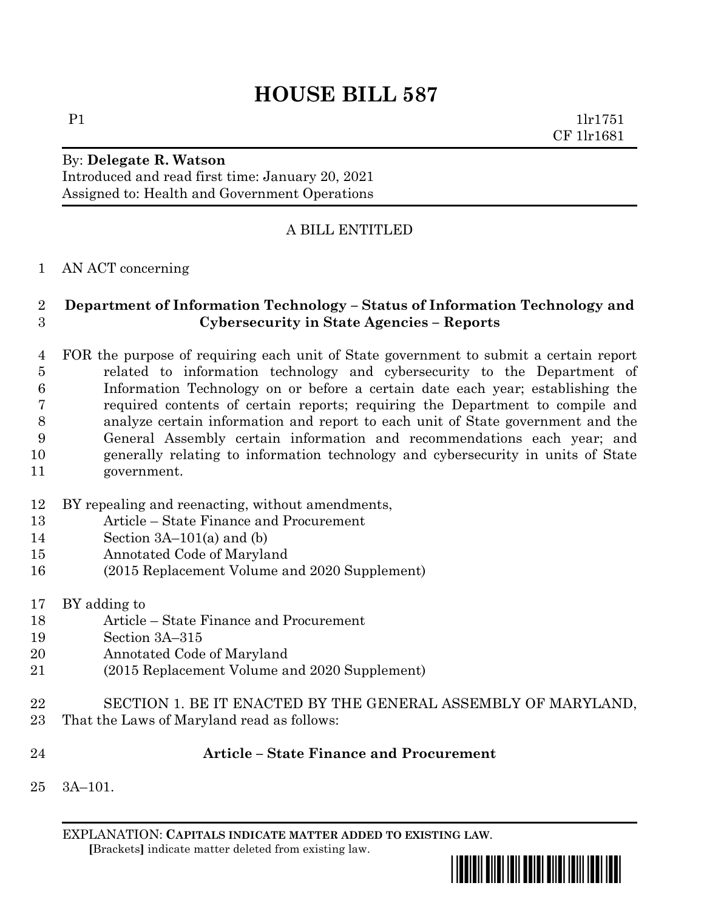# **HOUSE BILL 587**

P1 1lr1751 CF 1lr1681

### By: **Delegate R. Watson** Introduced and read first time: January 20, 2021 Assigned to: Health and Government Operations

## A BILL ENTITLED

#### AN ACT concerning

#### **Department of Information Technology – Status of Information Technology and Cybersecurity in State Agencies – Reports**

- FOR the purpose of requiring each unit of State government to submit a certain report related to information technology and cybersecurity to the Department of Information Technology on or before a certain date each year; establishing the required contents of certain reports; requiring the Department to compile and analyze certain information and report to each unit of State government and the General Assembly certain information and recommendations each year; and generally relating to information technology and cybersecurity in units of State government.
- BY repealing and reenacting, without amendments,
- Article State Finance and Procurement
- 14 Section  $3A-101(a)$  and (b)
- Annotated Code of Maryland
- (2015 Replacement Volume and 2020 Supplement)
- BY adding to
- Article State Finance and Procurement
- Section 3A–315
- Annotated Code of Maryland
- (2015 Replacement Volume and 2020 Supplement)
- SECTION 1. BE IT ENACTED BY THE GENERAL ASSEMBLY OF MARYLAND, That the Laws of Maryland read as follows:
- 

#### **Article – State Finance and Procurement**

3A–101.

EXPLANATION: **CAPITALS INDICATE MATTER ADDED TO EXISTING LAW**.  **[**Brackets**]** indicate matter deleted from existing law.

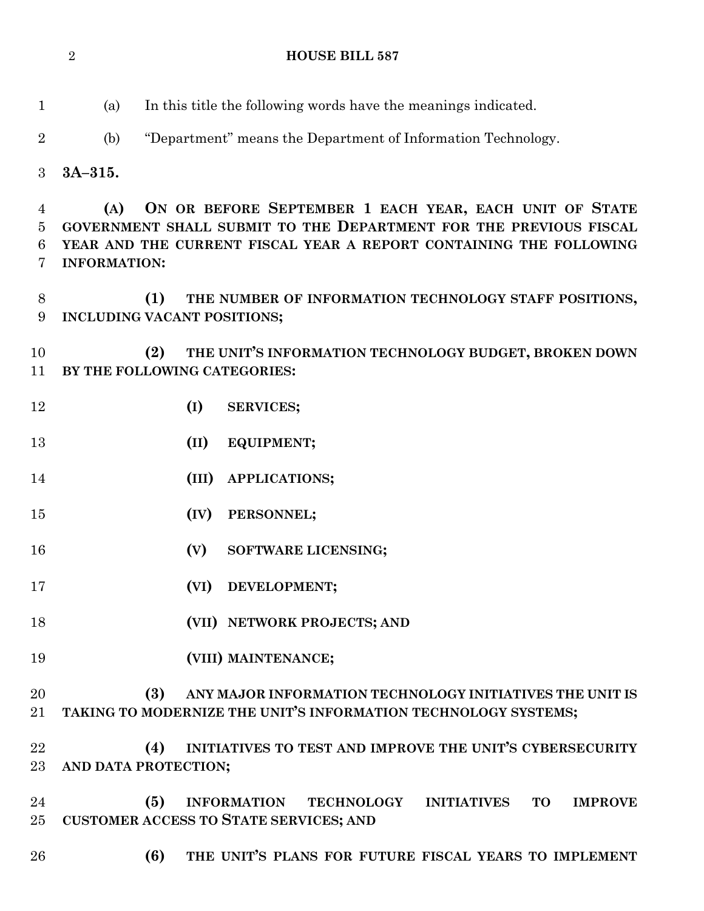(a) In this title the following words have the meanings indicated. (b) "Department" means the Department of Information Technology. **3A–315. (A) ON OR BEFORE SEPTEMBER 1 EACH YEAR, EACH UNIT OF STATE GOVERNMENT SHALL SUBMIT TO THE DEPARTMENT FOR THE PREVIOUS FISCAL YEAR AND THE CURRENT FISCAL YEAR A REPORT CONTAINING THE FOLLOWING INFORMATION: (1) THE NUMBER OF INFORMATION TECHNOLOGY STAFF POSITIONS, INCLUDING VACANT POSITIONS; (2) THE UNIT'S INFORMATION TECHNOLOGY BUDGET, BROKEN DOWN BY THE FOLLOWING CATEGORIES: (I) SERVICES; (II) EQUIPMENT; (III) APPLICATIONS; (IV) PERSONNEL; (V) SOFTWARE LICENSING; (VI) DEVELOPMENT; (VII) NETWORK PROJECTS; AND (VIII) MAINTENANCE; (3) ANY MAJOR INFORMATION TECHNOLOGY INITIATIVES THE UNIT IS TAKING TO MODERNIZE THE UNIT'S INFORMATION TECHNOLOGY SYSTEMS; (4) INITIATIVES TO TEST AND IMPROVE THE UNIT'S CYBERSECURITY AND DATA PROTECTION; (5) INFORMATION TECHNOLOGY INITIATIVES TO IMPROVE CUSTOMER ACCESS TO STATE SERVICES; AND (6) THE UNIT'S PLANS FOR FUTURE FISCAL YEARS TO IMPLEMENT** 

**HOUSE BILL 587**